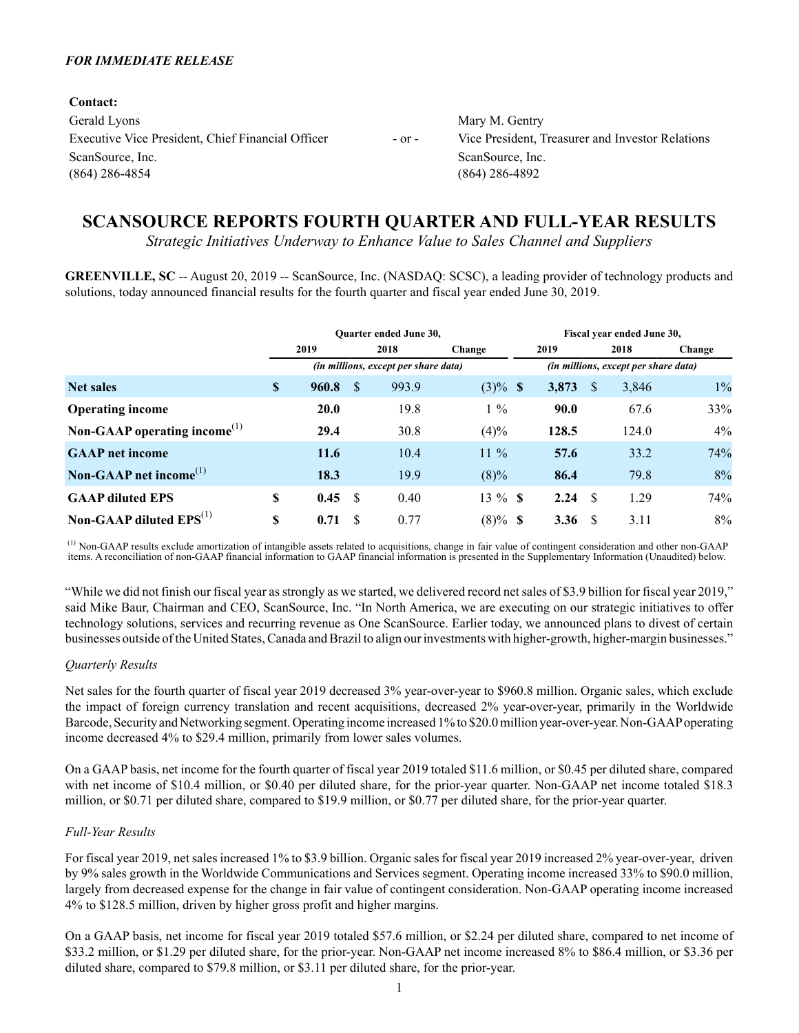#### *FOR IMMEDIATE RELEASE*

**Contact:**

| Contact:                                          |            |                                                  |
|---------------------------------------------------|------------|--------------------------------------------------|
| Gerald Lyons                                      |            | Mary M. Gentry                                   |
| Executive Vice President, Chief Financial Officer | $-$ or $-$ | Vice President, Treasurer and Investor Relations |
| ScanSource, Inc.                                  |            | ScanSource, Inc.                                 |
| $(864)$ 286-4854                                  |            | $(864)$ 286-4892                                 |

# **SCANSOURCE REPORTS FOURTH QUARTER AND FULL-YEAR RESULTS**

*Strategic Initiatives Underway to Enhance Value to Sales Channel and Suppliers*

**GREENVILLE, SC** -- August 20, 2019 -- ScanSource, Inc. (NASDAQ: SCSC), a leading provider of technology products and solutions, today announced financial results for the fourth quarter and fiscal year ended June 30, 2019.

|                                          |    | <b>Ouarter ended June 30,</b>               |      |       |            |  |       |      | Fiscal year ended June 30,                  |        |
|------------------------------------------|----|---------------------------------------------|------|-------|------------|--|-------|------|---------------------------------------------|--------|
|                                          |    | 2019                                        |      | 2018  | Change     |  | 2019  |      | 2018                                        | Change |
|                                          |    | <i>(in millions, except per share data)</i> |      |       |            |  |       |      | <i>(in millions, except per share data)</i> |        |
| <b>Net sales</b>                         | \$ | 960.8                                       | \$.  | 993.9 | $(3)\%$ \$ |  | 3,873 | \$.  | 3,846                                       | $1\%$  |
| <b>Operating income</b>                  |    | <b>20.0</b>                                 |      | 19.8  | $1\%$      |  | 90.0  |      | 67.6                                        | 33%    |
| Non-GAAP operating income <sup>(1)</sup> |    | 29.4                                        |      | 30.8  | (4)%       |  | 128.5 |      | 124.0                                       | 4%     |
| <b>GAAP</b> net income                   |    | 11.6                                        |      | 10.4  | $11\%$     |  | 57.6  |      | 33.2                                        | 74%    |
| Non-GAAP net income <sup>(1)</sup>       |    | 18.3                                        |      | 19.9  | $(8)\%$    |  | 86.4  |      | 79.8                                        | 8%     |
| <b>GAAP diluted EPS</b>                  | S  | 0.45                                        | - \$ | 0.40  | $13 \%$ \$ |  | 2.24  | - \$ | 1.29                                        | 74%    |
| Non-GAAP diluted $EPS^{(1)}$             | S  | 0.71                                        | -8   | 0.77  | $(8)\%$ \$ |  | 3.36  |      | 3.11                                        | 8%     |

(1) Non-GAAP results exclude amortization of intangible assets related to acquisitions, change in fair value of contingent consideration and other non-GAAP items. A reconciliation of non-GAAP financial information to GAAP financial information is presented in the Supplementary Information (Unaudited) below.

"While we did not finish our fiscal year as strongly as we started, we delivered record net sales of \$3.9 billion for fiscal year 2019," said Mike Baur, Chairman and CEO, ScanSource, Inc. "In North America, we are executing on our strategic initiatives to offer technology solutions, services and recurring revenue as One ScanSource. Earlier today, we announced plans to divest of certain businesses outside of the United States, Canada and Brazil to align our investments with higher-growth, higher-margin businesses."

### *Quarterly Results*

Net sales for the fourth quarter of fiscal year 2019 decreased 3% year-over-year to \$960.8 million. Organic sales, which exclude the impact of foreign currency translation and recent acquisitions, decreased 2% year-over-year, primarily in the Worldwide Barcode, Security and Networking segment. Operating income increased 1% to \$20.0 million year-over-year. Non-GAAPoperating income decreased 4% to \$29.4 million, primarily from lower sales volumes.

On a GAAPbasis, net income for the fourth quarter of fiscal year 2019 totaled \$11.6 million, or \$0.45 per diluted share, compared with net income of \$10.4 million, or \$0.40 per diluted share, for the prior-year quarter. Non-GAAP net income totaled \$18.3 million, or \$0.71 per diluted share, compared to \$19.9 million, or \$0.77 per diluted share, for the prior-year quarter.

#### *Full-Year Results*

For fiscal year 2019, net sales increased 1% to \$3.9 billion. Organic sales for fiscal year 2019 increased 2% year-over-year, driven by 9% sales growth in the Worldwide Communications and Services segment. Operating income increased 33% to \$90.0 million, largely from decreased expense for the change in fair value of contingent consideration. Non-GAAPoperating income increased 4% to \$128.5 million, driven by higher gross profit and higher margins.

On a GAAP basis, net income for fiscal year 2019 totaled \$57.6 million, or \$2.24 per diluted share, compared to net income of \$33.2 million, or \$1.29 per diluted share, for the prior-year. Non-GAAP net income increased 8% to \$86.4 million, or \$3.36 per diluted share, compared to \$79.8 million, or \$3.11 per diluted share, for the prior-year.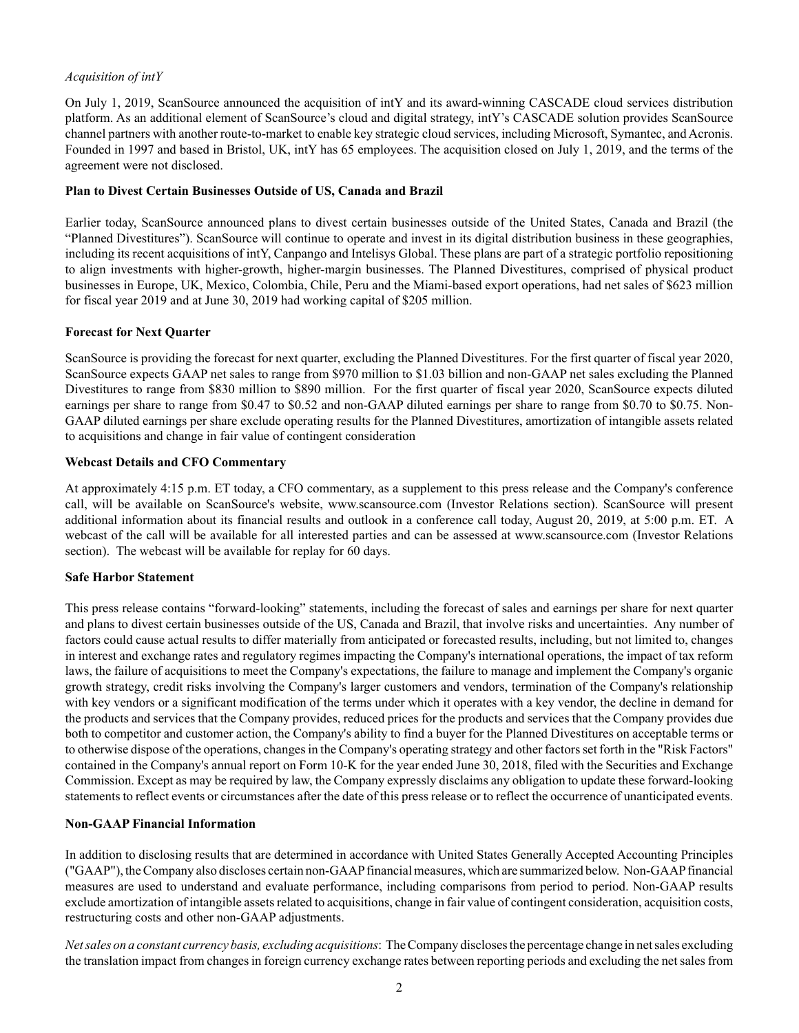### *Acquisition of intY*

On July 1, 2019, ScanSource announced the acquisition of intY and its award-winning CASCADE cloud services distribution platform. As an additional element of ScanSource's cloud and digital strategy, intY's CASCADE solution provides ScanSource channel partners with another route-to-market to enable key strategic cloud services, including Microsoft, Symantec, and Acronis. Founded in 1997 and based in Bristol, UK, intY has 65 employees. The acquisition closed on July 1, 2019, and the terms of the agreement were not disclosed.

### **Plan to Divest Certain Businesses Outside of US, Canada and Brazil**

Earlier today, ScanSource announced plans to divest certain businesses outside of the United States, Canada and Brazil (the "Planned Divestitures"). ScanSource will continue to operate and invest in its digital distribution business in these geographies, including its recent acquisitions of intY, Canpango and Intelisys Global. These plans are part of a strategic portfolio repositioning to align investments with higher-growth, higher-margin businesses. The Planned Divestitures, comprised of physical product businesses in Europe, UK, Mexico, Colombia, Chile, Peru and the Miami-based export operations, had net sales of \$623 million for fiscal year 2019 and at June 30, 2019 had working capital of \$205 million.

## **Forecast for Next Quarter**

ScanSource is providing the forecast for next quarter, excluding the Planned Divestitures. For the first quarter of fiscal year 2020, ScanSource expects GAAP net sales to range from \$970 million to \$1.03 billion and non-GAAP net sales excluding the Planned Divestitures to range from \$830 million to \$890 million. For the first quarter of fiscal year 2020, ScanSource expects diluted earnings per share to range from \$0.47 to \$0.52 and non-GAAP diluted earnings per share to range from \$0.70 to \$0.75. Non-GAAPdiluted earnings per share exclude operating results for the Planned Divestitures, amortization of intangible assets related to acquisitions and change in fair value of contingent consideration

## **Webcast Details and CFO Commentary**

At approximately 4:15 p.m. ET today, a CFO commentary, as a supplement to this press release and the Company's conference call, will be available on ScanSource's website, www.scansource.com (Investor Relations section). ScanSource will present additional information about its financial results and outlook in a conference call today, August 20, 2019, at 5:00 p.m. ET. A webcast of the call will be available for all interested parties and can be assessed at www.scansource.com (Investor Relations section). The webcast will be available for replay for 60 days.

#### **Safe Harbor Statement**

This press release contains "forward-looking" statements, including the forecast of sales and earnings per share for next quarter and plans to divest certain businesses outside of the US, Canada and Brazil, that involve risks and uncertainties. Any number of factors could cause actual results to differ materially from anticipated or forecasted results, including, but not limited to, changes in interest and exchange rates and regulatory regimes impacting the Company's international operations, the impact of tax reform laws, the failure of acquisitions to meet the Company's expectations, the failure to manage and implement the Company's organic growth strategy, credit risks involving the Company's larger customers and vendors, termination of the Company's relationship with key vendors or a significant modification of the terms under which it operates with a key vendor, the decline in demand for the products and services that the Company provides, reduced prices for the products and services that the Company provides due both to competitor and customer action, the Company's ability to find a buyer for the Planned Divestitures on acceptable terms or to otherwise dispose of the operations, changes in the Company's operating strategy and other factors set forth in the "Risk Factors" contained in the Company's annual report on Form 10-K for the year ended June 30, 2018, filed with the Securities and Exchange Commission. Except as may be required by law, the Company expressly disclaims any obligation to update these forward-looking statements to reflect events or circumstances after the date of this press release or to reflect the occurrence of unanticipated events.

#### **Non-GAAP Financial Information**

In addition to disclosing results that are determined in accordance with United States Generally Accepted Accounting Principles ("GAAP"), the Company also discloses certain non-GAAPfinancial measures, which are summarized below. Non-GAAPfinancial measures are used to understand and evaluate performance, including comparisons from period to period. Non-GAAP results exclude amortization of intangible assets related to acquisitions, change in fair value of contingent consideration, acquisition costs, restructuring costs and other non-GAAP adjustments.

*Net sales on a constant currency basis, excluding acquisitions*: The Company discloses the percentage change in net sales excluding the translation impact from changes in foreign currency exchange rates between reporting periods and excluding the net sales from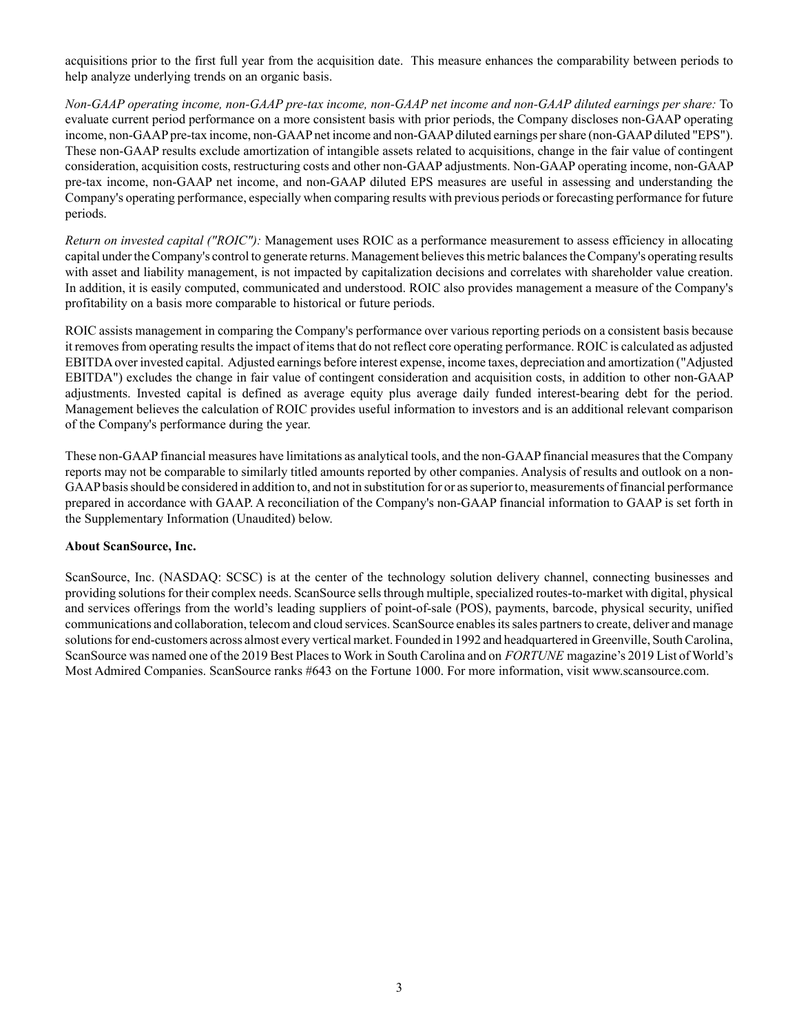acquisitions prior to the first full year from the acquisition date. This measure enhances the comparability between periods to help analyze underlying trends on an organic basis.

*Non-GAAP operating income, non-GAAP pre-tax income, non-GAAP net income and non-GAAP diluted earnings per share:* To evaluate current period performance on a more consistent basis with prior periods, the Company discloses non-GAAP operating income, non-GAAP pre-tax income, non-GAAP net income and non-GAAP diluted earnings per share (non-GAAP diluted "EPS"). These non-GAAP results exclude amortization of intangible assets related to acquisitions, change in the fair value of contingent consideration, acquisition costs, restructuring costs and other non-GAAP adjustments. Non-GAAP operating income, non-GAAP pre-tax income, non-GAAP net income, and non-GAAP diluted EPS measures are useful in assessing and understanding the Company's operating performance, especially when comparing results with previous periods or forecasting performance for future periods.

*Return on invested capital ("ROIC"):* Management uses ROIC as a performance measurement to assess efficiency in allocating capital under the Company's control to generate returns. Management believes this metric balances the Company's operating results with asset and liability management, is not impacted by capitalization decisions and correlates with shareholder value creation. In addition, it is easily computed, communicated and understood. ROIC also provides management a measure of the Company's profitability on a basis more comparable to historical or future periods.

ROIC assists management in comparing the Company's performance over various reporting periods on a consistent basis because it removes from operating results the impact of items that do not reflect core operating performance. ROIC is calculated as adjusted EBITDAover invested capital. Adjusted earnings before interest expense, income taxes, depreciation and amortization ("Adjusted EBITDA") excludes the change in fair value of contingent consideration and acquisition costs, in addition to other non-GAAP adjustments. Invested capital is defined as average equity plus average daily funded interest-bearing debt for the period. Management believes the calculation of ROIC provides useful information to investors and is an additional relevant comparison of the Company's performance during the year.

These non-GAAPfinancial measures have limitations as analytical tools, and the non-GAAPfinancial measures that the Company reports may not be comparable to similarly titled amounts reported by other companies. Analysis of results and outlook on a non-GAAPbasis should be considered in addition to, and not in substitution for or as superior to, measurements of financial performance prepared in accordance with GAAP. A reconciliation of the Company's non-GAAP financial information to GAAP is set forth in the Supplementary Information (Unaudited) below.

#### **About ScanSource, Inc.**

ScanSource, Inc. (NASDAQ: SCSC) is at the center of the technology solution delivery channel, connecting businesses and providing solutions for their complex needs. ScanSource sells through multiple, specialized routes-to-market with digital, physical and services offerings from the world's leading suppliers of point-of-sale (POS), payments, barcode, physical security, unified communications and collaboration, telecom and cloud services. ScanSource enables its sales partners to create, deliver and manage solutions for end-customers across almost every vertical market. Founded in 1992 and headquartered in Greenville, South Carolina, ScanSource was named one of the 2019 Best Places to Work in South Carolina and on *FORTUNE* magazine's 2019 List of World's Most Admired Companies. ScanSource ranks #643 on the Fortune 1000. For more information, visit www.scansource.com.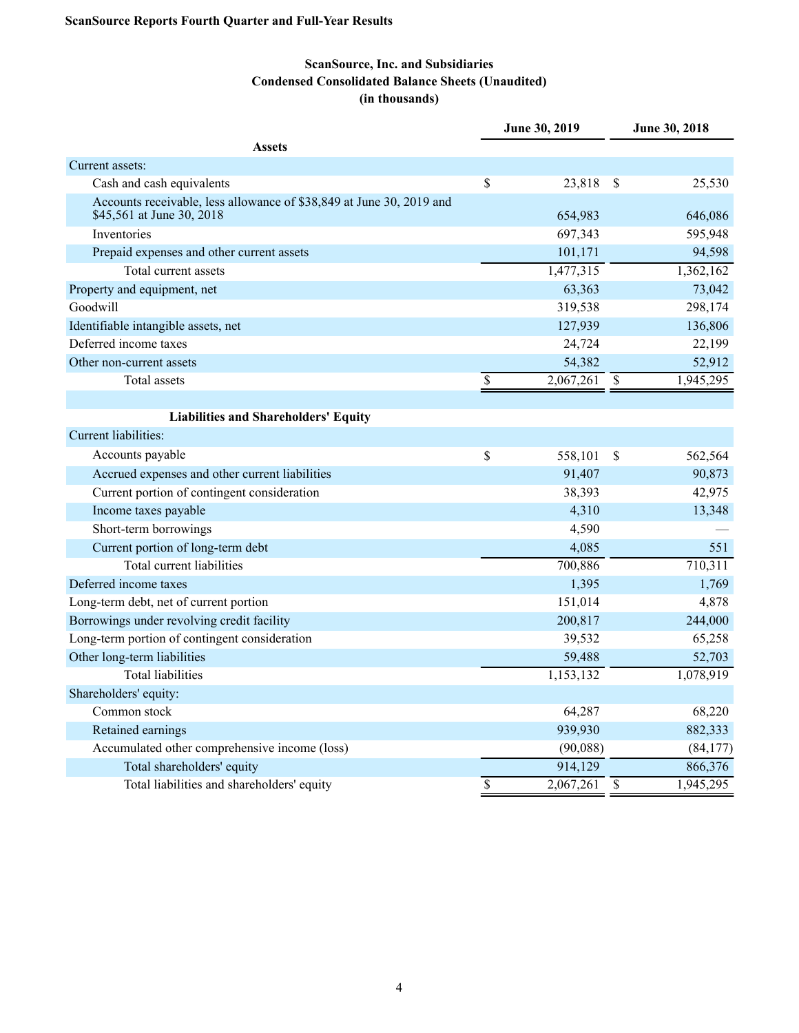# **ScanSource, Inc. and Subsidiaries Condensed Consolidated Balance Sheets (Unaudited) (in thousands)**

|                                                                                                   | June 30, 2019 |           |                          | June 30, 2018 |
|---------------------------------------------------------------------------------------------------|---------------|-----------|--------------------------|---------------|
| <b>Assets</b>                                                                                     |               |           |                          |               |
| Current assets:                                                                                   |               |           |                          |               |
| Cash and cash equivalents                                                                         | \$            | 23,818    | <sup>\$</sup>            | 25,530        |
| Accounts receivable, less allowance of \$38,849 at June 30, 2019 and<br>\$45,561 at June 30, 2018 |               | 654,983   |                          | 646,086       |
| Inventories                                                                                       |               | 697,343   |                          | 595,948       |
| Prepaid expenses and other current assets                                                         |               | 101,171   |                          | 94,598        |
| Total current assets                                                                              |               | 1,477,315 |                          | 1,362,162     |
| Property and equipment, net                                                                       |               | 63,363    |                          | 73,042        |
| Goodwill                                                                                          |               | 319,538   |                          | 298,174       |
| Identifiable intangible assets, net                                                               |               | 127,939   |                          | 136,806       |
| Deferred income taxes                                                                             |               | 24,724    |                          | 22,199        |
| Other non-current assets                                                                          |               | 54,382    |                          | 52,912        |
| Total assets                                                                                      | \$            | 2,067,261 | $\mathcal{S}$            | 1,945,295     |
|                                                                                                   |               |           |                          |               |
| <b>Liabilities and Shareholders' Equity</b>                                                       |               |           |                          |               |
| <b>Current liabilities:</b>                                                                       |               |           |                          |               |
| Accounts payable                                                                                  | \$            | 558,101   | $\mathcal{S}$            | 562,564       |
| Accrued expenses and other current liabilities                                                    |               | 91,407    |                          | 90,873        |
| Current portion of contingent consideration                                                       |               | 38,393    |                          | 42,975        |
| Income taxes payable                                                                              |               | 4,310     |                          | 13,348        |
| Short-term borrowings                                                                             |               | 4,590     |                          |               |
| Current portion of long-term debt                                                                 |               | 4,085     |                          | 551           |
| Total current liabilities                                                                         |               | 700,886   |                          | 710,311       |
| Deferred income taxes                                                                             |               | 1,395     |                          | 1,769         |
| Long-term debt, net of current portion                                                            |               | 151,014   |                          | 4,878         |
| Borrowings under revolving credit facility                                                        |               | 200,817   |                          | 244,000       |
| Long-term portion of contingent consideration                                                     |               | 39,532    |                          | 65,258        |
| Other long-term liabilities                                                                       |               | 59,488    |                          | 52,703        |
| <b>Total liabilities</b>                                                                          |               | 1,153,132 |                          | 1,078,919     |
| Shareholders' equity:                                                                             |               |           |                          |               |
| Common stock                                                                                      |               | 64,287    |                          | 68,220        |
| Retained earnings                                                                                 |               | 939,930   |                          | 882,333       |
| Accumulated other comprehensive income (loss)                                                     |               | (90,088)  |                          | (84, 177)     |
| Total shareholders' equity                                                                        |               | 914,129   |                          | 866,376       |
| Total liabilities and shareholders' equity                                                        | \$            | 2,067,261 | $\overline{\mathcal{S}}$ | 1,945,295     |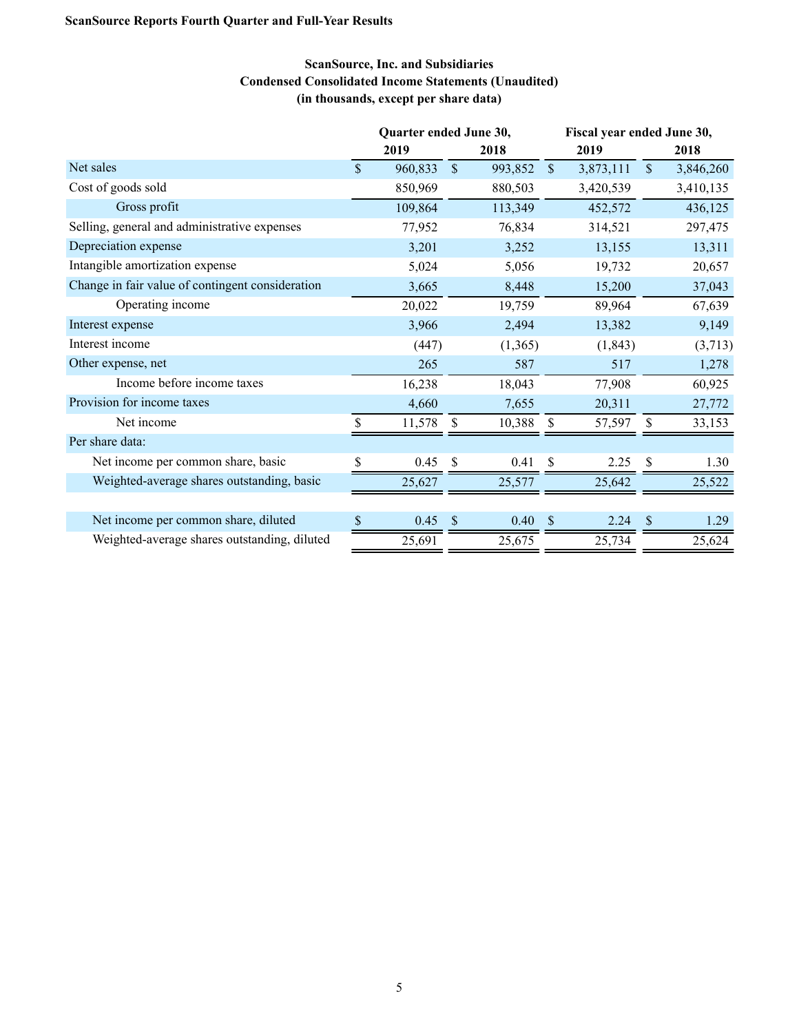# **ScanSource, Inc. and Subsidiaries Condensed Consolidated Income Statements (Unaudited) (in thousands, except per share data)**

|                                                  |               | Quarter ended June 30, |                    |         |               |           | Fiscal year ended June 30, |           |  |  |
|--------------------------------------------------|---------------|------------------------|--------------------|---------|---------------|-----------|----------------------------|-----------|--|--|
|                                                  |               | 2019                   |                    | 2018    |               | 2019      |                            | 2018      |  |  |
| Net sales                                        | $\mathbf{\$}$ | 960,833                | $\mathbf{\hat{S}}$ | 993,852 | $\mathbb{S}$  | 3,873,111 | $\mathcal{S}$              | 3,846,260 |  |  |
| Cost of goods sold                               |               | 850,969                |                    | 880,503 |               | 3,420,539 |                            | 3,410,135 |  |  |
| Gross profit                                     |               | 109,864                |                    | 113,349 |               | 452,572   |                            | 436,125   |  |  |
| Selling, general and administrative expenses     |               | 77,952                 |                    | 76,834  |               | 314,521   |                            | 297,475   |  |  |
| Depreciation expense                             |               | 3,201                  |                    | 3,252   |               | 13,155    |                            | 13,311    |  |  |
| Intangible amortization expense                  |               | 5,024                  |                    | 5,056   |               | 19,732    |                            | 20,657    |  |  |
| Change in fair value of contingent consideration |               | 3,665                  |                    | 8,448   |               | 15,200    |                            | 37,043    |  |  |
| Operating income                                 |               | 20,022                 |                    | 19,759  |               | 89,964    |                            | 67,639    |  |  |
| Interest expense                                 |               | 3,966                  |                    | 2,494   |               | 13,382    |                            | 9,149     |  |  |
| Interest income                                  |               | (447)                  |                    | (1,365) |               | (1, 843)  |                            | (3,713)   |  |  |
| Other expense, net                               |               | 265                    |                    | 587     |               | 517       |                            | 1,278     |  |  |
| Income before income taxes                       |               | 16,238                 |                    | 18,043  |               | 77,908    |                            | 60,925    |  |  |
| Provision for income taxes                       |               | 4,660                  |                    | 7,655   |               | 20,311    |                            | 27,772    |  |  |
| Net income                                       | S             | 11,578                 | \$                 | 10,388  | S             | 57,597    | \$                         | 33,153    |  |  |
| Per share data:                                  |               |                        |                    |         |               |           |                            |           |  |  |
| Net income per common share, basic               | \$            | 0.45                   | $\mathcal{S}$      | 0.41    | $\mathcal{S}$ | 2.25      | $\mathcal{S}$              | 1.30      |  |  |
| Weighted-average shares outstanding, basic       |               | 25,627                 |                    | 25,577  |               | 25,642    |                            | 25,522    |  |  |
|                                                  |               |                        |                    |         |               |           |                            |           |  |  |
| Net income per common share, diluted             | S             | 0.45                   | <sup>\$</sup>      | 0.40    | <sup>\$</sup> | 2.24      | $\mathcal{S}$              | 1.29      |  |  |
| Weighted-average shares outstanding, diluted     |               | 25,691                 |                    | 25,675  |               | 25,734    |                            | 25,624    |  |  |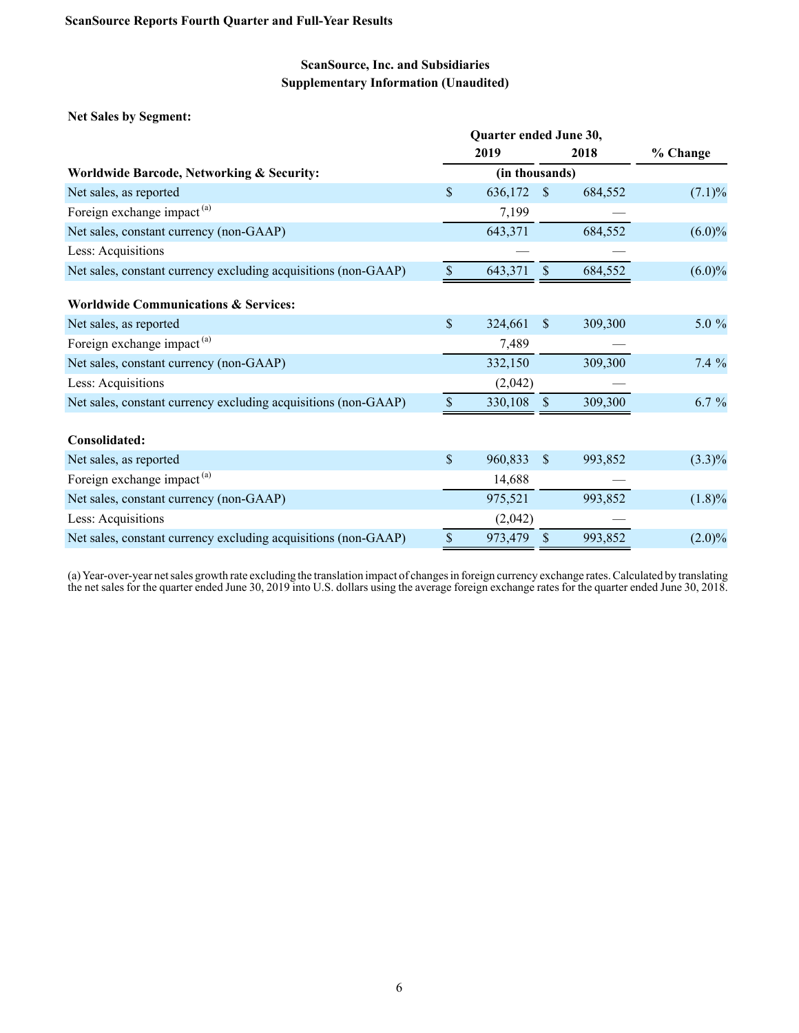**Net Sales by Segment:**

|                                                                |               | Quarter ended June 30, |               |         |           |
|----------------------------------------------------------------|---------------|------------------------|---------------|---------|-----------|
|                                                                |               | 2019                   |               | 2018    | % Change  |
| Worldwide Barcode, Networking & Security:                      |               | (in thousands)         |               |         |           |
| Net sales, as reported                                         | $\mathsf{\$}$ | 636,172                | <sup>S</sup>  | 684,552 | $(7.1)\%$ |
| Foreign exchange impact <sup>(a)</sup>                         |               | 7,199                  |               |         |           |
| Net sales, constant currency (non-GAAP)                        |               | 643,371                |               | 684,552 | $(6.0)\%$ |
| Less: Acquisitions                                             |               |                        |               |         |           |
| Net sales, constant currency excluding acquisitions (non-GAAP) | \$            | 643,371                | $\mathcal{S}$ | 684,552 | $(6.0)\%$ |
| <b>Worldwide Communications &amp; Services:</b>                |               |                        |               |         |           |
| Net sales, as reported                                         | $\mathsf{\$}$ | 324,661                | $\mathcal{S}$ | 309,300 | 5.0 %     |
| Foreign exchange impact <sup>(a)</sup>                         |               | 7,489                  |               |         |           |
| Net sales, constant currency (non-GAAP)                        |               | 332,150                |               | 309,300 | 7.4 %     |
| Less: Acquisitions                                             |               | (2,042)                |               |         |           |
| Net sales, constant currency excluding acquisitions (non-GAAP) |               | 330,108                | <sup>\$</sup> | 309,300 | 6.7 %     |
| Consolidated:                                                  |               |                        |               |         |           |
| Net sales, as reported                                         | $\mathsf{\$}$ | 960,833                | <sup>\$</sup> | 993,852 | $(3.3)\%$ |
| Foreign exchange impact <sup>(a)</sup>                         |               | 14,688                 |               |         |           |
| Net sales, constant currency (non-GAAP)                        |               | 975,521                |               | 993,852 | $(1.8)\%$ |
| Less: Acquisitions                                             |               | (2,042)                |               |         |           |
| Net sales, constant currency excluding acquisitions (non-GAAP) | \$            | 973,479                | \$            | 993,852 | $(2.0)\%$ |

(a) Year-over-year net sales growth rate excluding the translation impact of changes in foreign currency exchange rates. Calculated by translating the net sales for the quarter ended June 30, 2019 into U.S. dollars using the average foreign exchange rates for the quarter ended June 30, 2018.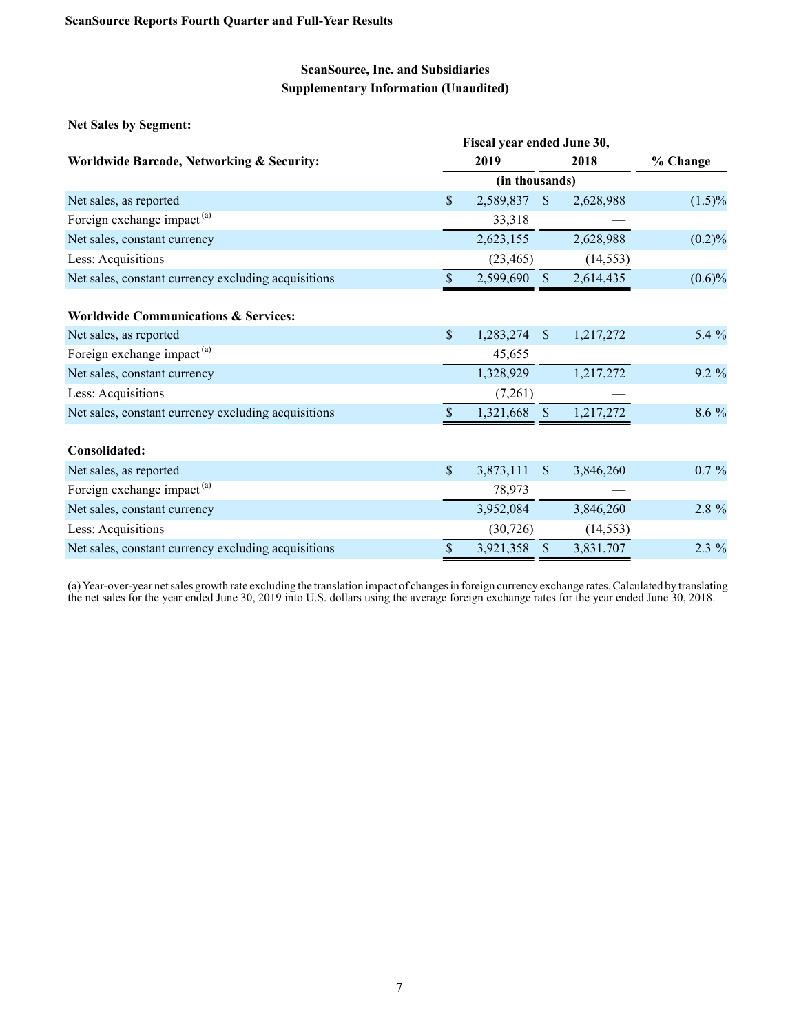| <b>Net Sales by Segment:</b>                        |              |                            |               |           |           |
|-----------------------------------------------------|--------------|----------------------------|---------------|-----------|-----------|
|                                                     |              | Fiscal year ended June 30, |               |           |           |
| Worldwide Barcode, Networking & Security:           |              | 2019                       |               | 2018      | % Change  |
|                                                     |              | (in thousands)             |               |           |           |
| Net sales, as reported                              | \$           | 2,589,837                  | $\mathbb{S}$  | 2,628,988 | $(1.5)\%$ |
| Foreign exchange impact <sup>(a)</sup>              |              | 33,318                     |               |           |           |
| Net sales, constant currency                        |              | 2,623,155                  |               | 2,628,988 | (0.2)%    |
| Less: Acquisitions                                  |              | (23, 465)                  |               | (14, 553) |           |
| Net sales, constant currency excluding acquisitions |              | 2,599,690                  | $\mathbb{S}$  | 2,614,435 | $(0.6)\%$ |
| <b>Worldwide Communications &amp; Services:</b>     |              |                            |               |           |           |
| Net sales, as reported                              | \$           | 1,283,274                  | $\mathbf{\$}$ | 1,217,272 | 5.4 %     |
| Foreign exchange impact <sup>(a)</sup>              |              | 45,655                     |               |           |           |
| Net sales, constant currency                        |              | 1,328,929                  |               | 1,217,272 | 9.2 %     |
| Less: Acquisitions                                  |              | (7,261)                    |               |           |           |
| Net sales, constant currency excluding acquisitions |              | 1,321,668                  | <sup>\$</sup> | 1,217,272 | 8.6 %     |
| Consolidated:                                       |              |                            |               |           |           |
| Net sales, as reported                              | $\mathbb{S}$ | 3,873,111                  | $\mathbb{S}$  | 3,846,260 | $0.7 \%$  |
| Foreign exchange impact <sup>(a)</sup>              |              | 78,973                     |               |           |           |
| Net sales, constant currency                        |              | 3,952,084                  |               | 3,846,260 | 2.8 %     |
| Less: Acquisitions                                  |              | (30, 726)                  |               | (14, 553) |           |
| Net sales, constant currency excluding acquisitions | \$           | 3,921,358                  | $\mathbb{S}$  | 3,831,707 | 2.3 %     |

(a) Year-over-year net sales growth rate excluding the translation impact of changes in foreign currency exchange rates. Calculated by translating the net sales for the year ended June 30, 2019 into U.S. dollars using the average foreign exchange rates for the year ended June 30, 2018.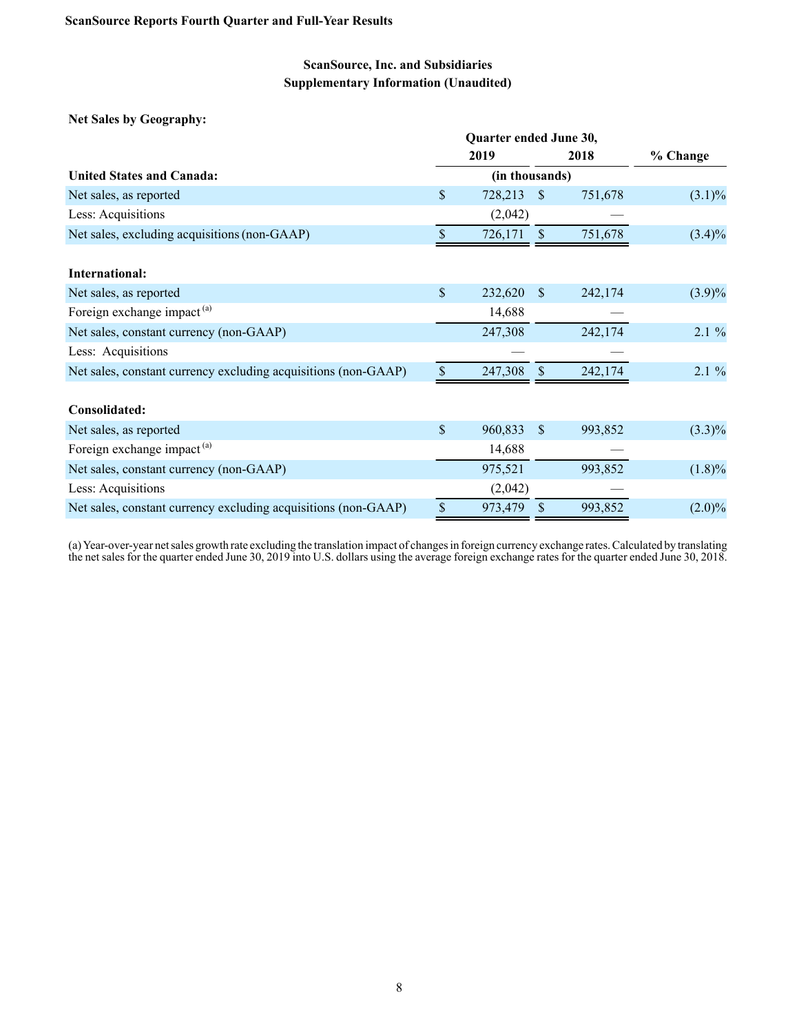**Net Sales by Geography:**

|                                                                |                           | Quarter ended June 30, |               |         |           |
|----------------------------------------------------------------|---------------------------|------------------------|---------------|---------|-----------|
|                                                                |                           | 2019                   |               | 2018    | % Change  |
| <b>United States and Canada:</b>                               |                           | (in thousands)         |               |         |           |
| Net sales, as reported                                         | \$                        | 728,213                | <sup>\$</sup> | 751,678 | $(3.1)\%$ |
| Less: Acquisitions                                             |                           | (2,042)                |               |         |           |
| Net sales, excluding acquisitions (non-GAAP)                   | $\boldsymbol{\mathsf{S}}$ | 726,171                | $\mathbb{S}$  | 751,678 | $(3.4)\%$ |
| International:                                                 |                           |                        |               |         |           |
| Net sales, as reported                                         | \$                        | 232,620                | <sup>\$</sup> | 242,174 | $(3.9)\%$ |
| Foreign exchange impact <sup>(a)</sup>                         |                           | 14,688                 |               |         |           |
| Net sales, constant currency (non-GAAP)                        |                           | 247,308                |               | 242,174 | $2.1 \%$  |
| Less: Acquisitions                                             |                           |                        |               |         |           |
| Net sales, constant currency excluding acquisitions (non-GAAP) | S                         | 247,308                |               | 242,174 | $2.1 \%$  |
| Consolidated:                                                  |                           |                        |               |         |           |
| Net sales, as reported                                         | \$                        | 960,833                | $\mathbb{S}$  | 993,852 | $(3.3)\%$ |
| Foreign exchange impact <sup>(a)</sup>                         |                           | 14,688                 |               |         |           |
| Net sales, constant currency (non-GAAP)                        |                           | 975,521                |               | 993,852 | $(1.8)\%$ |
| Less: Acquisitions                                             |                           | (2,042)                |               |         |           |
| Net sales, constant currency excluding acquisitions (non-GAAP) | \$                        | 973,479                | $\mathbf{\$}$ | 993,852 | $(2.0)\%$ |

(a) Year-over-year net sales growth rate excluding the translation impact of changes in foreign currency exchange rates. Calculated by translating the net sales for the quarter ended June 30, 2019 into U.S. dollars using the average foreign exchange rates for the quarter ended June 30, 2018.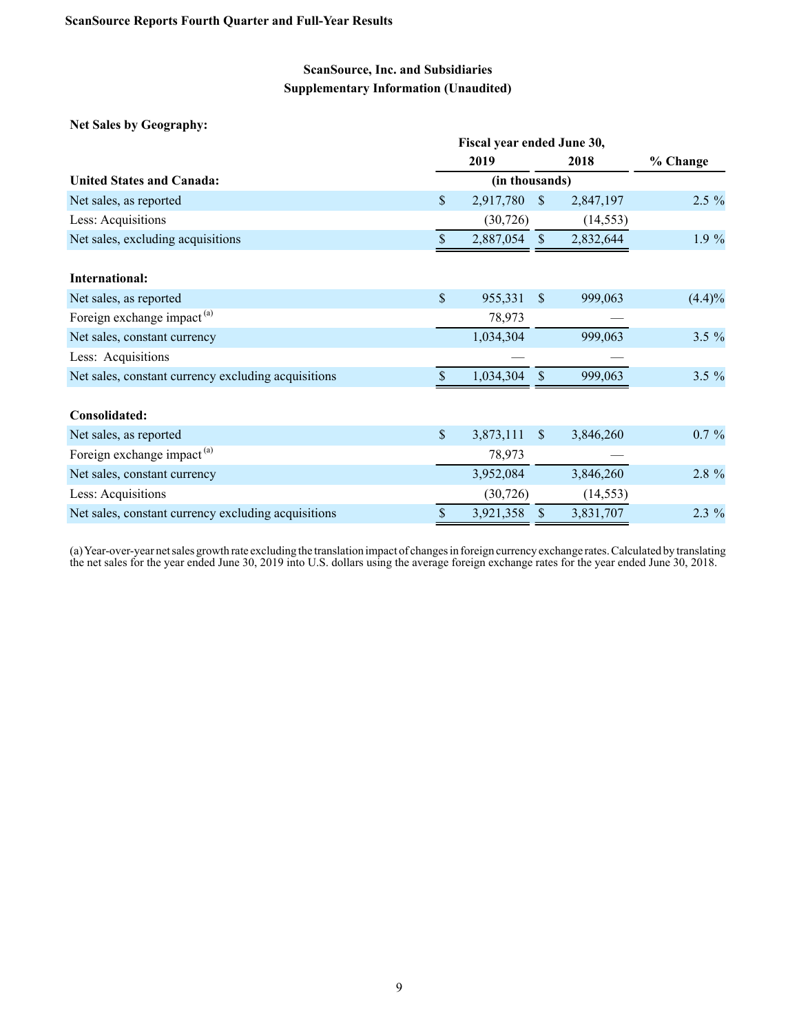**Net Sales by Geography:**

|                                                     |              | Fiscal year ended June 30, |               |           |          |  |  |  |  |  |
|-----------------------------------------------------|--------------|----------------------------|---------------|-----------|----------|--|--|--|--|--|
| <b>United States and Canada:</b>                    |              | 2019                       |               | 2018      | % Change |  |  |  |  |  |
|                                                     |              | (in thousands)             |               |           |          |  |  |  |  |  |
| Net sales, as reported                              | \$           | 2,917,780                  | <sup>S</sup>  | 2,847,197 | $2.5 \%$ |  |  |  |  |  |
| Less: Acquisitions                                  |              | (30, 726)                  |               | (14, 553) |          |  |  |  |  |  |
| Net sales, excluding acquisitions                   | $\mathbb{S}$ | 2,887,054                  | $\mathcal{S}$ | 2,832,644 | $1.9\%$  |  |  |  |  |  |
| <b>International:</b>                               |              |                            |               |           |          |  |  |  |  |  |
| Net sales, as reported                              | \$           | 955,331                    | <sup>\$</sup> | 999,063   | (4.4)%   |  |  |  |  |  |
| Foreign exchange impact <sup>(a)</sup>              |              | 78,973                     |               |           |          |  |  |  |  |  |
| Net sales, constant currency                        |              | 1,034,304                  |               | 999,063   | $3.5 \%$ |  |  |  |  |  |
| Less: Acquisitions                                  |              |                            |               |           |          |  |  |  |  |  |
| Net sales, constant currency excluding acquisitions | S            | 1,034,304                  | <sup>\$</sup> | 999,063   | $3.5 \%$ |  |  |  |  |  |
| Consolidated:                                       |              |                            |               |           |          |  |  |  |  |  |
| Net sales, as reported                              | \$           | 3,873,111                  | <sup>\$</sup> | 3,846,260 | $0.7 \%$ |  |  |  |  |  |
| Foreign exchange impact <sup>(a)</sup>              |              | 78,973                     |               |           |          |  |  |  |  |  |
| Net sales, constant currency                        |              | 3,952,084                  |               | 3,846,260 | 2.8 %    |  |  |  |  |  |
| Less: Acquisitions                                  |              | (30, 726)                  |               | (14, 553) |          |  |  |  |  |  |
| Net sales, constant currency excluding acquisitions | \$           | 3,921,358                  | $\mathsf{\$}$ | 3,831,707 | 2.3 %    |  |  |  |  |  |

(a) Year-over-year net sales growth rate excluding the translation impact of changes in foreign currency exchange rates. Calculated by translating the net sales for the year ended June 30, 2019 into U.S. dollars using the average foreign exchange rates for the year ended June 30, 2018.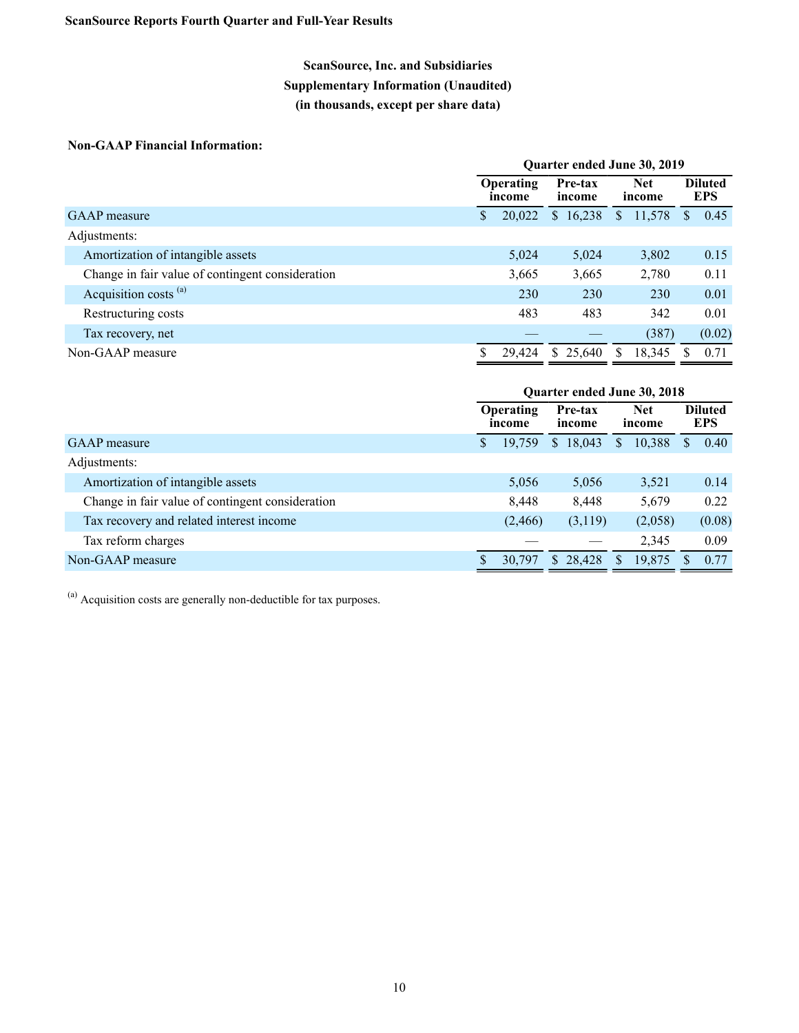# **ScanSource, Inc. and Subsidiaries Supplementary Information (Unaudited) (in thousands, except per share data)**

### **Non-GAAP Financial Information:**

|                                                  | Quarter ended June 30, 2019 |                     |                   |       |    |                      |  |                              |
|--------------------------------------------------|-----------------------------|---------------------|-------------------|-------|----|----------------------|--|------------------------------|
|                                                  |                             | Operating<br>income | Pre-tax<br>income |       |    | <b>Net</b><br>income |  | <b>Diluted</b><br><b>EPS</b> |
| GAAP measure                                     |                             | 20,022              | \$16,238          |       | \$ | 11,578               |  | 0.45                         |
| Adjustments:                                     |                             |                     |                   |       |    |                      |  |                              |
| Amortization of intangible assets                |                             | 5,024               |                   | 5,024 |    | 3,802                |  | 0.15                         |
| Change in fair value of contingent consideration |                             | 3,665               |                   | 3,665 |    | 2,780                |  | 0.11                         |
| Acquisition costs <sup>(a)</sup>                 |                             | 230                 |                   | 230   |    | 230                  |  | 0.01                         |
| Restructuring costs                              |                             | 483                 |                   | 483   |    | 342                  |  | 0.01                         |
| Tax recovery, net                                |                             |                     |                   |       |    | (387)                |  | (0.02)                       |
| Non-GAAP measure                                 |                             | 29.424              | \$25,640          |       | S  | 18,345               |  | 0.71                         |

|                                                  | Quarter ended June 30, 2018 |                            |                   |    |                      |               |                              |
|--------------------------------------------------|-----------------------------|----------------------------|-------------------|----|----------------------|---------------|------------------------------|
|                                                  |                             | <b>Operating</b><br>income | Pre-tax<br>income |    | <b>Net</b><br>income |               | <b>Diluted</b><br><b>EPS</b> |
| GAAP measure                                     |                             | 19.759                     | \$18,043          | \$ | 10,388               | <sup>\$</sup> | 0.40                         |
| Adjustments:                                     |                             |                            |                   |    |                      |               |                              |
| Amortization of intangible assets                |                             | 5,056                      | 5,056             |    | 3,521                |               | 0.14                         |
| Change in fair value of contingent consideration |                             | 8,448                      | 8,448             |    | 5,679                |               | 0.22                         |
| Tax recovery and related interest income         |                             | (2, 466)                   | (3,119)           |    | (2,058)              |               | (0.08)                       |
| Tax reform charges                               |                             |                            |                   |    | 2,345                |               | 0.09                         |
| Non-GAAP measure                                 |                             | 30.797                     | \$28,428          | S. | 19,875               |               | 0.77                         |

(a) Acquisition costs are generally non-deductible for tax purposes.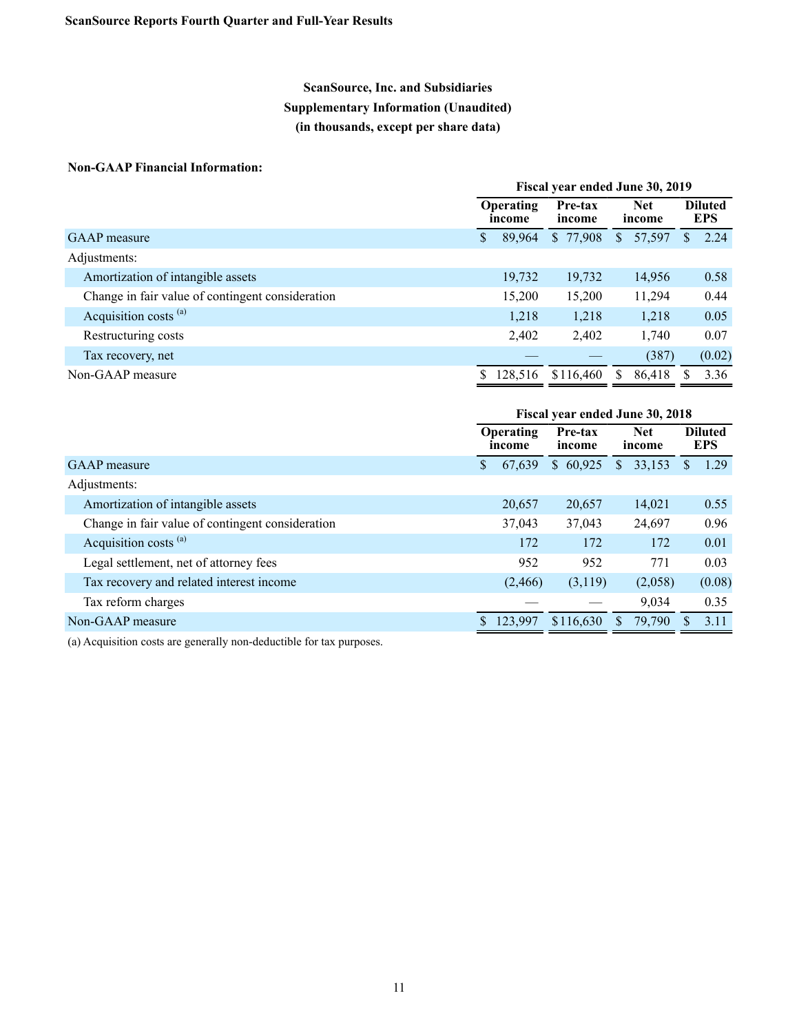# **ScanSource, Inc. and Subsidiaries Supplementary Information (Unaudited) (in thousands, except per share data)**

# **Non-GAAP Financial Information:**

|                                                  | Fiscal year ended June 30, 2019                 |           |                          |                              |  |  |  |
|--------------------------------------------------|-------------------------------------------------|-----------|--------------------------|------------------------------|--|--|--|
|                                                  | Pre-tax<br><b>Operating</b><br>income<br>income |           | <b>Net</b><br>income     | <b>Diluted</b><br><b>EPS</b> |  |  |  |
| <b>GAAP</b> measure                              | 89.964<br>S                                     | \$77,908  | 57,597<br>$\mathbb{S}^-$ | 2.24<br>S                    |  |  |  |
| Adjustments:                                     |                                                 |           |                          |                              |  |  |  |
| Amortization of intangible assets                | 19,732                                          | 19,732    | 14,956                   | 0.58                         |  |  |  |
| Change in fair value of contingent consideration | 15,200                                          | 15,200    | 11,294                   | 0.44                         |  |  |  |
| Acquisition costs <sup>(a)</sup>                 | 1,218                                           | 1,218     | 1,218                    | 0.05                         |  |  |  |
| Restructuring costs                              | 2,402                                           | 2,402     | 1,740                    | 0.07                         |  |  |  |
| Tax recovery, net                                |                                                 |           | (387)                    | (0.02)                       |  |  |  |
| Non-GAAP measure                                 | 128,516                                         | \$116,460 | 86,418<br>S              | 3.36                         |  |  |  |

| Fiscal year ended June 30, 2018 |                   |                      |                              |  |  |  |
|---------------------------------|-------------------|----------------------|------------------------------|--|--|--|
| Operating<br>income             | Pre-tax<br>income | <b>Net</b><br>income | <b>Diluted</b><br><b>EPS</b> |  |  |  |
| 67,639<br>\$.                   | \$60,925          | 33,153<br>S.         | 1.29<br><b>S</b>             |  |  |  |
|                                 |                   |                      |                              |  |  |  |
| 20,657                          | 20,657            | 14,021               | 0.55                         |  |  |  |
| 37,043                          | 37,043            | 24,697               | 0.96                         |  |  |  |
| 172                             | 172               | 172                  | 0.01                         |  |  |  |
| 952                             | 952               | 771                  | 0.03                         |  |  |  |
| (2,466)                         | (3,119)           | (2,058)              | (0.08)                       |  |  |  |
|                                 |                   | 9,034                | 0.35                         |  |  |  |
| 123,997                         | \$116,630         | 79,790<br>S          | 3.11                         |  |  |  |
|                                 |                   |                      |                              |  |  |  |

(a) Acquisition costs are generally non-deductible for tax purposes.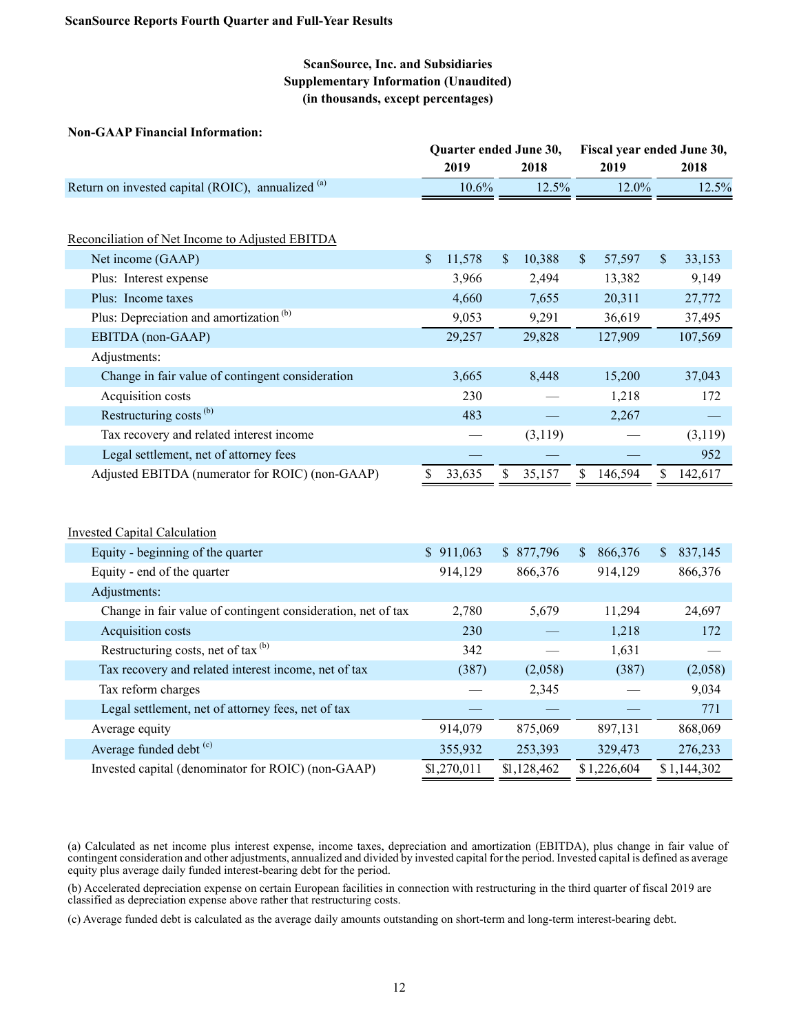# **ScanSource, Inc. and Subsidiaries Supplementary Information (Unaudited) (in thousands, except percentages)**

**Non-GAAP Financial Information:**

|                                                              |              | Quarter ended June 30, | Fiscal year ended June 30, |                         |  |
|--------------------------------------------------------------|--------------|------------------------|----------------------------|-------------------------|--|
|                                                              | 2019         | 2018                   | 2019                       | 2018                    |  |
| Return on invested capital (ROIC), annualized (a)            | 10.6%        | 12.5%                  | 12.0%                      | 12.5%                   |  |
|                                                              |              |                        |                            |                         |  |
| Reconciliation of Net Income to Adjusted EBITDA              |              |                        |                            |                         |  |
| Net income (GAAP)                                            | \$<br>11,578 | 10,388<br>S            | $\mathbb{S}$<br>57,597     | \$<br>33,153            |  |
| Plus: Interest expense                                       | 3,966        | 2,494                  | 13,382                     | 9,149                   |  |
| Plus: Income taxes                                           | 4,660        | 7,655                  | 20,311                     | 27,772                  |  |
| Plus: Depreciation and amortization <sup>(b)</sup>           | 9,053        | 9,291                  | 36,619                     | 37,495                  |  |
| EBITDA (non-GAAP)                                            | 29,257       | 29,828                 | 127,909                    | 107,569                 |  |
| Adjustments:                                                 |              |                        |                            |                         |  |
| Change in fair value of contingent consideration             | 3,665        | 8,448                  | 15,200                     | 37,043                  |  |
| Acquisition costs                                            | 230          |                        | 1,218                      | 172                     |  |
| Restructuring costs <sup>(b)</sup>                           | 483          |                        | 2,267                      |                         |  |
| Tax recovery and related interest income                     |              | (3,119)                |                            | (3,119)                 |  |
| Legal settlement, net of attorney fees                       |              |                        |                            | 952                     |  |
| Adjusted EBITDA (numerator for ROIC) (non-GAAP)              | \$<br>33,635 | 35,157<br>\$           | \$<br>146,594              | 142,617<br>\$           |  |
|                                                              |              |                        |                            |                         |  |
|                                                              |              |                        |                            |                         |  |
| <b>Invested Capital Calculation</b>                          |              |                        |                            |                         |  |
| Equity - beginning of the quarter                            | \$911,063    | \$877,796              | $\mathbb{S}$<br>866,376    | $\mathbb{S}$<br>837,145 |  |
| Equity - end of the quarter                                  | 914,129      | 866,376                | 914,129                    | 866,376                 |  |
| Adjustments:                                                 |              |                        |                            |                         |  |
| Change in fair value of contingent consideration, net of tax | 2,780        | 5,679                  | 11,294                     | 24,697                  |  |
| Acquisition costs                                            | 230          |                        | 1,218                      | 172                     |  |
| Restructuring costs, net of tax (b)                          | 342          |                        | 1,631                      |                         |  |
| Tax recovery and related interest income, net of tax         | (387)        | (2,058)                | (387)                      | (2,058)                 |  |
| Tax reform charges                                           |              | 2,345                  |                            | 9,034                   |  |
| Legal settlement, net of attorney fees, net of tax           |              |                        |                            | 771                     |  |
| Average equity                                               | 914,079      | 875,069                | 897,131                    | 868,069                 |  |
| Average funded debt <sup>(c)</sup>                           | 355,932      | 253,393                | 329,473                    | 276,233                 |  |
| Invested capital (denominator for ROIC) (non-GAAP)           | \$1,270,011  | \$1,128,462            | \$1,226,604                | \$1,144,302             |  |

(a) Calculated as net income plus interest expense, income taxes, depreciation and amortization (EBITDA), plus change in fair value of contingent consideration and other adjustments, annualized and divided by invested capital for the period. Invested capital is defined as average equity plus average daily funded interest-bearing debt for the period.

(b) Accelerated depreciation expense on certain European facilities in connection with restructuring in the third quarter of fiscal 2019 are classified as depreciation expense above rather that restructuring costs.

(c) Average funded debt is calculated as the average daily amounts outstanding on short-term and long-term interest-bearing debt.